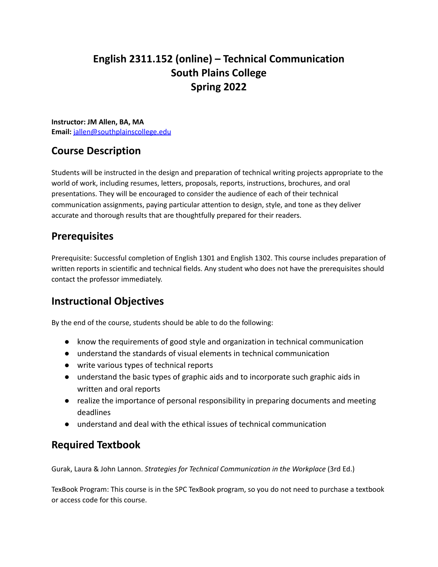# **English 2311.152 (online) – Technical Communication South Plains College Spring 2022**

**Instructor: JM Allen, BA, MA Email:** [jallen@southplainscollege.edu](mailto:jallen@southplainscollege.edu)

# **Course Description**

Students will be instructed in the design and preparation of technical writing projects appropriate to the world of work, including resumes, letters, proposals, reports, instructions, brochures, and oral presentations. They will be encouraged to consider the audience of each of their technical communication assignments, paying particular attention to design, style, and tone as they deliver accurate and thorough results that are thoughtfully prepared for their readers.

#### **Prerequisites**

Prerequisite: Successful completion of English 1301 and English 1302. This course includes preparation of written reports in scientific and technical fields. Any student who does not have the prerequisites should contact the professor immediately.

## **Instructional Objectives**

By the end of the course, students should be able to do the following:

- know the requirements of good style and organization in technical communication
- understand the standards of visual elements in technical communication
- write various types of technical reports
- understand the basic types of graphic aids and to incorporate such graphic aids in written and oral reports
- realize the importance of personal responsibility in preparing documents and meeting deadlines
- understand and deal with the ethical issues of technical communication

## **Required Textbook**

Gurak, Laura & John Lannon. *Strategies for Technical Communication in the Workplace* (3rd Ed.)

TexBook Program: This course is in the SPC TexBook program, so you do not need to purchase a textbook or access code for this course.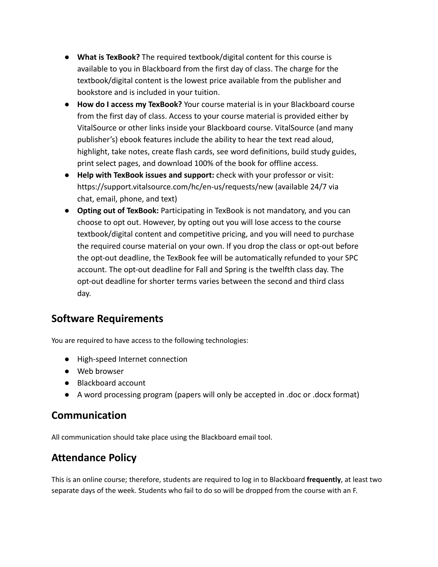- **What is TexBook?** The required textbook/digital content for this course is available to you in Blackboard from the first day of class. The charge for the textbook/digital content is the lowest price available from the publisher and bookstore and is included in your tuition.
- **How do I access my TexBook?** Your course material is in your Blackboard course from the first day of class. Access to your course material is provided either by VitalSource or other links inside your Blackboard course. VitalSource (and many publisher's) ebook features include the ability to hear the text read aloud, highlight, take notes, create flash cards, see word definitions, build study guides, print select pages, and download 100% of the book for offline access.
- **Help with TexBook issues and support:** check with your professor or visit: https://support.vitalsource.com/hc/en-us/requests/new (available 24/7 via chat, email, phone, and text)
- **Opting out of TexBook:** Participating in TexBook is not mandatory, and you can choose to opt out. However, by opting out you will lose access to the course textbook/digital content and competitive pricing, and you will need to purchase the required course material on your own. If you drop the class or opt-out before the opt-out deadline, the TexBook fee will be automatically refunded to your SPC account. The opt-out deadline for Fall and Spring is the twelfth class day. The opt-out deadline for shorter terms varies between the second and third class day.

## **Software Requirements**

You are required to have access to the following technologies:

- High-speed Internet connection
- Web browser
- Blackboard account
- A word processing program (papers will only be accepted in .doc or .docx format)

#### **Communication**

All communication should take place using the Blackboard email tool.

## **Attendance Policy**

This is an online course; therefore, students are required to log in to Blackboard **frequently**, at least two separate days of the week. Students who fail to do so will be dropped from the course with an F.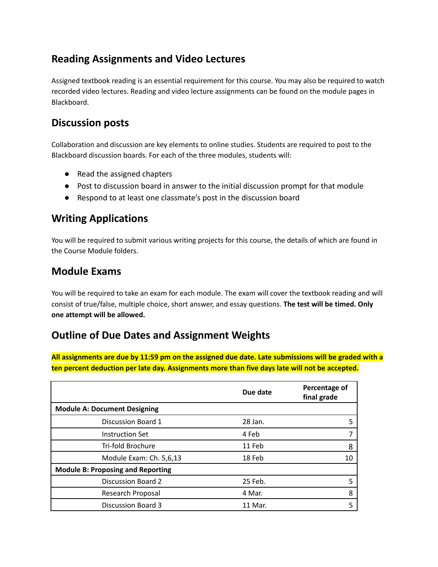### **Reading Assignments and Video Lectures**

Assigned textbook reading is an essential requirement for this course. You may also be required to watch recorded video lectures. Reading and video lecture assignments can be found on the module pages in Blackboard.

#### **Discussion posts**

Collaboration and discussion are key elements to online studies. Students are required to post to the Blackboard discussion boards. For each of the three modules, students will:

- Read the assigned chapters
- Post to discussion board in answer to the initial discussion prompt for that module
- Respond to at least one classmate's post in the discussion board

### **Writing Applications**

You will be required to submit various writing projects for this course, the details of which are found in the Course Module folders.

#### **Module Exams**

You will be required to take an exam for each module. The exam will cover the textbook reading and will consist of true/false, multiple choice, short answer, and essay questions. **The test will be timed. Only one attempt will be allowed.**

## **Outline of Due Dates and Assignment Weights**

All assignments are due by 11:59 pm on the assigned due date. Late submissions will be graded with a **ten percent deduction per late day. Assignments more than five days late will not be accepted.**

|                                          | Due date | Percentage of<br>final grade |
|------------------------------------------|----------|------------------------------|
| <b>Module A: Document Designing</b>      |          |                              |
| Discussion Board 1                       | 28 Jan.  | 5                            |
| <b>Instruction Set</b>                   | 4 Feb    |                              |
| Tri-fold Brochure                        | 11 Feb   | 8                            |
| Module Exam: Ch. 5,6,13                  | 18 Feb   | 10                           |
| <b>Module B: Proposing and Reporting</b> |          |                              |
| Discussion Board 2                       | 25 Feb.  | 5                            |
| Research Proposal                        | 4 Mar.   | 8                            |
| <b>Discussion Board 3</b>                | 11 Mar.  | 5                            |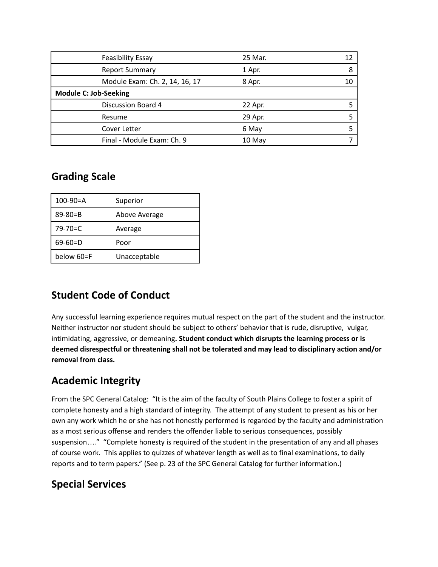| Feasibility Essay              | 25 Mar. | 12 |
|--------------------------------|---------|----|
| <b>Report Summary</b>          | 1 Apr.  | 8  |
| Module Exam: Ch. 2, 14, 16, 17 | 8 Apr.  | 10 |
| <b>Module C: Job-Seeking</b>   |         |    |
| <b>Discussion Board 4</b>      | 22 Apr. |    |
| Resume                         | 29 Apr. |    |
| Cover Letter                   | 6 May   |    |
| Final - Module Exam: Ch. 9     | 10 May  |    |

### **Grading Scale**

| $100 - 90 = A$ | Superior      |
|----------------|---------------|
| $89 - 80 = B$  | Above Average |
| $79 - 70 = C$  | Average       |
| $69 - 60 = D$  | Poor          |
| below 60=F     | Unacceptable  |

## **Student Code of Conduct**

Any successful learning experience requires mutual respect on the part of the student and the instructor. Neither instructor nor student should be subject to others' behavior that is rude, disruptive, vulgar, intimidating, aggressive, or demeaning**. Student conduct which disrupts the learning process or is deemed disrespectful or threatening shall not be tolerated and may lead to disciplinary action and/or removal from class.**

## **Academic Integrity**

From the SPC General Catalog: "It is the aim of the faculty of South Plains College to foster a spirit of complete honesty and a high standard of integrity. The attempt of any student to present as his or her own any work which he or she has not honestly performed is regarded by the faculty and administration as a most serious offense and renders the offender liable to serious consequences, possibly suspension…." "Complete honesty is required of the student in the presentation of any and all phases of course work. This applies to quizzes of whatever length as well as to final examinations, to daily reports and to term papers." (See p. 23 of the SPC General Catalog for further information.)

#### **Special Services**